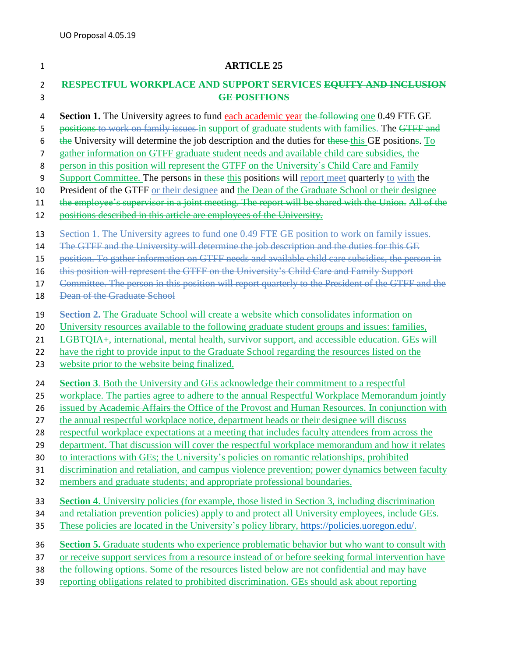## **ARTICLE 25**

## **RESPECTFUL WORKPLACE AND SUPPORT SERVICES EQUITY AND INCLUSION GE POSITIONS**

- **Section 1.** The University agrees to fund each academic year the following one 0.49 FTE GE
- 5 positions to work on family issues in support of graduate students with families. The GTFF and
- 6 the University will determine the job description and the duties for these this GE positions. To
- 7 gather information on GTFF graduate student needs and available child care subsidies, the
- person in this position will represent the GTFF on the University's Child Care and Family
- 9 Support Committee. The persons in these this positions will report meet quarterly to with the
- President of the GTFF or their designee and the Dean of the Graduate School or their designee
- the employee's supervisor in a joint meeting. The report will be shared with the Union. All of the
- 12 positions described in this article are employees of the University.
- Section 1. The University agrees to fund one 0.49 FTE GE position to work on family issues.
- 14 The GTFF and the University will determine the job description and the duties for this GE
- position. To gather information on GTFF needs and available child care subsidies, the person in
- this position will represent the GTFF on the University's Child Care and Family Support
- 17 Committee. The person in this position will report quarterly to the President of the GTFF and the
- 18 Dean of the Graduate School
- **Section 2.** The Graduate School will create a website which consolidates information on
- University resources available to the following graduate student groups and issues: families,
- LGBTQIA+, international, mental health, survivor support, and accessible education. GEs will
- 22 have the right to provide input to the Graduate School regarding the resources listed on the
- website prior to the website being finalized.
- **Section 3**. Both the University and GEs acknowledge their commitment to a respectful
- workplace. The parties agree to adhere to the annual Respectful Workplace Memorandum jointly
- 26 issued by Academic Affairs the Office of the Provost and Human Resources. In conjunction with
- the annual respectful workplace notice, department heads or their designee will discuss
- respectful workplace expectations at a meeting that includes faculty attendees from across the
- department. That discussion will cover the respectful workplace memorandum and how it relates
- to interactions with GEs; the University's policies on romantic relationships, prohibited
- discrimination and retaliation, and campus violence prevention; power dynamics between faculty
- members and graduate students; and appropriate professional boundaries.
- **Section 4**. University policies (for example, those listed in Section 3, including discrimination
- and retaliation prevention policies) apply to and protect all University employees, include GEs.
- These policies are located in the University's policy library, [https://policies.uoregon.edu/.](https://policies.uoregon.edu/)
- **Section 5.** Graduate students who experience problematic behavior but who want to consult with
- or receive support services from a resource instead of or before seeking formal intervention have
- the following options. Some of the resources listed below are not confidential and may have
- reporting obligations related to prohibited discrimination. GEs should ask about reporting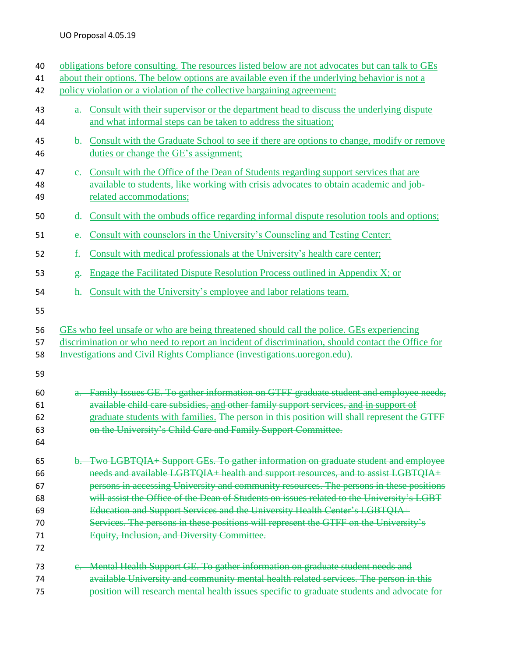| 40<br>41<br>42                               |                | obligations before consulting. The resources listed below are not advocates but can talk to GEs<br>about their options. The below options are available even if the underlying behavior is not a<br>policy violation or a violation of the collective bargaining agreement:                                                                                                                                                                                                                                                                                                           |
|----------------------------------------------|----------------|---------------------------------------------------------------------------------------------------------------------------------------------------------------------------------------------------------------------------------------------------------------------------------------------------------------------------------------------------------------------------------------------------------------------------------------------------------------------------------------------------------------------------------------------------------------------------------------|
| 43<br>44                                     | $a_{\cdot}$    | Consult with their supervisor or the department head to discuss the underlying dispute<br>and what informal steps can be taken to address the situation;                                                                                                                                                                                                                                                                                                                                                                                                                              |
| 45<br>46                                     | $\mathbf{b}$ . | Consult with the Graduate School to see if there are options to change, modify or remove<br>duties or change the GE's assignment;                                                                                                                                                                                                                                                                                                                                                                                                                                                     |
| 47<br>48<br>49                               | $\mathbf{c}$ . | Consult with the Office of the Dean of Students regarding support services that are<br>available to students, like working with crisis advocates to obtain academic and job-<br>related accommodations;                                                                                                                                                                                                                                                                                                                                                                               |
| 50                                           | $\mathbf{d}$ . | Consult with the ombuds office regarding informal dispute resolution tools and options;                                                                                                                                                                                                                                                                                                                                                                                                                                                                                               |
| 51                                           | e.             | Consult with counselors in the University's Counseling and Testing Center;                                                                                                                                                                                                                                                                                                                                                                                                                                                                                                            |
| 52                                           | f.             | Consult with medical professionals at the University's health care center;                                                                                                                                                                                                                                                                                                                                                                                                                                                                                                            |
| 53                                           | g.             | Engage the Facilitated Dispute Resolution Process outlined in Appendix X; or                                                                                                                                                                                                                                                                                                                                                                                                                                                                                                          |
| 54                                           | h.             | Consult with the University's employee and labor relations team.                                                                                                                                                                                                                                                                                                                                                                                                                                                                                                                      |
| 56<br>57<br>58<br>59                         |                | GEs who feel unsafe or who are being threatened should call the police. GEs experiencing<br>discrimination or who need to report an incident of discrimination, should contact the Office for<br>Investigations and Civil Rights Compliance (investigations.uoregon.edu).                                                                                                                                                                                                                                                                                                             |
| 60<br>61<br>62<br>63<br>64                   |                | a. Family Issues GE. To gather information on GTFF graduate student and employee needs,<br>available child care subsidies, and other family support services, and in support of<br>graduate students with families. The person in this position will shall represent the GTFF<br>on the University's Child Care and Family Support Committee.                                                                                                                                                                                                                                         |
| 65<br>66<br>67<br>68<br>69<br>70<br>71<br>72 |                | b. Two LGBTQIA+ Support GEs. To gather information on graduate student and employee<br>needs and available LGBTQIA+ health and support resources, and to assist LGBTQIA+<br>persons in accessing University and community resources. The persons in these positions<br>will assist the Office of the Dean of Students on issues related to the University's LGBT<br>Education and Support Services and the University Health Center's LGBTQIA+<br>Services. The persons in these positions will represent the GTFF on the University's<br>Equity, Inclusion, and Diversity Committee. |
| 73<br>74<br>75                               |                | e. Mental Health Support GE. To gather information on graduate student needs and<br>available University and community mental health related services. The person in this<br>position will research mental health issues specific to graduate students and advocate for                                                                                                                                                                                                                                                                                                               |